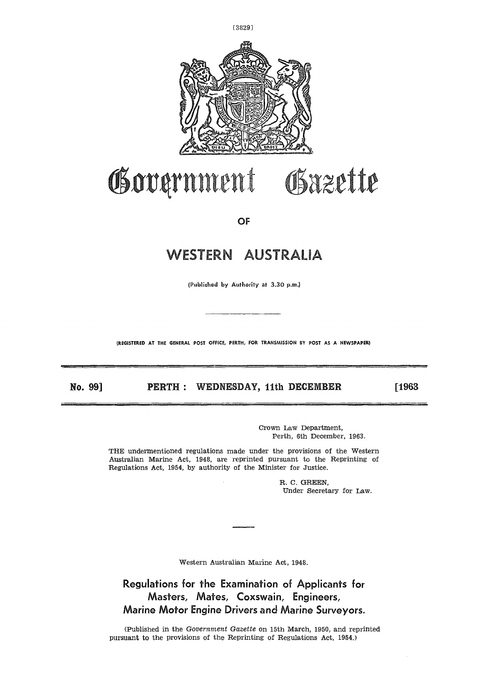

# Gazette Government

OF

# WESTERN AUSTRALIA

(Published by Authority at 3.30 p,m.)

**(REGISTERED AT THE GENERAL POST OFFICE, PERTH, FOR TRANSMISSION BY POST AS A NEWSPAPER)**

**No. 99] PERTH : WEDNESDAY,** 11th **DECEMBER** [1963

Crown Law Department, Perth, 6th December, 1963.

THE undermentioned regulations made under the provisions of the Western Australian Marine Act, 1948, are reprinted pursuant to the Reprinting of Regulations Act, 1954, by authority of the Minister for Justice.

> R. C. GREEN, Under Secretary for Law.

Western Australian Marine Act, 1948.

**Regulations for the Examination of Applicants for Masters, Mates, Coxswain, Engineers, Marine Motor Engine Drivers and Marine Surveyors.**

(Published in the *Government Gazette* on 15th March, 1950, and reprinted pursuant to the provisions of the Reprinting of Regulations Act, 1954.)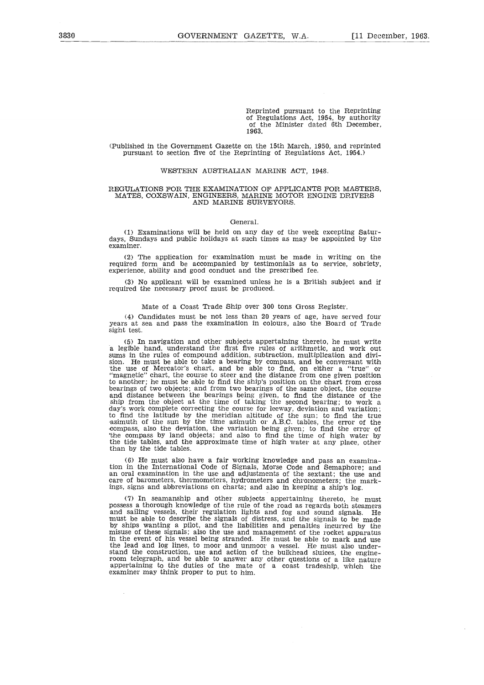Reprinted pursuant to the Reprinting of Regulations Act, 1954, by authority of the Minister dated 6th December, 1963.

(Published in the Government Gazette on the 15th March, 1950, and reprinted pursuant to section five of the Reprinting of Regulations Act, 1954.)

## WESTERN AUSTRALIAN MARINE ACT, 1948.

## REGULATIONS FOR THE EXAMINATION OF APPLICANTS FOR MASTERS, MATES, COXSWAIN, ENGINEERS, MARINE MOTOR ENGINE DRIVERS AND MARINE SURVEYORS.

## General.

(1) Examinations will be held on any day of the week excepting Saturdays, Sundays and public holidays at such times as may be appointed by the examiner.

(2) The application for examination must be made in writing on the required form and be accompanied by testimonials as to service, sobriety, experience, ability and good conduct and the prescribed fee.

(3) No applicant will be examined unless he is a British subject and if required the necessary proof must be produced.

# Mate of a Coast Trade Ship over 300 tons Gross Register.

(4) Candidates must be not less than 20 years of age, have served four years at sea and pass the examination in colours, also the Board of Trade sight test.

(5) In navigation and other subjects appertaining thereto, he must write a legible hand, understand the first five rules of arithmetic, and work out sums in the rules of compound addition, subtraction, multiplication and division. He must be able to take a bearing by compass, and be conversant with<br>the use of Mercator's chart, and be able to find, on either a "true" or<br>"magnetic" chart, the course to steer and the distance from one given posit to another; he must be able to find the ship's position on the chart from cross bearings of two objects; and from two bearings of the same object, the course and distance between the bearings being given, to find the distance of the ship from the object at the time of taking the second bearing; to work a day's work complete correcting the course for leeway, deviation and variation; to find the latitude by the meridian altitude of the sun; to find the true azimuth of the sun by the time azimuth or A.B.C. tables, the error of the compass, also the deviation, the variation being given; to find the error of 'the compass by land objects; and also to find the time of high water by the tide tables, and the approximate time of high water at any place, other than by the tide tables.

(6) He must also have a fair working knowledge and pass an examination in the International Code of Signals, Morse Code and Semaphore; and an oral examination in the use and adjustments of the sextant; the use and care of barometers, thermometers, hydrometers and chronometers; the markings, signs and abbreviations on charts; and also in keeping a ship's log.

(7) In seamanship and other subjects appertaining thereto, he must possess a thorough knowledge of the rule of the road as regards both steamers and sailing vessels, their regulation lights and fog and sound signals. He must be able to describe the signals of distress, and the signals to be made by ships wanting a pilot, and the liabilities and penalties incurred by the misuse of these signals; also the use and management of the rocket apparatus in the event of his vessel being stranded. He must be able to mark and use the lead and log lines, to moor and unmoor a vessel. He must also understand the construction, use and action of the bulkhead sluices, the engineroom telegraph, and be able to answer any other questions of a like nature appertaining to the duties of the mate of a coast tradeship, which the examiner may think proper to put to him.

 $\mathcal{L}$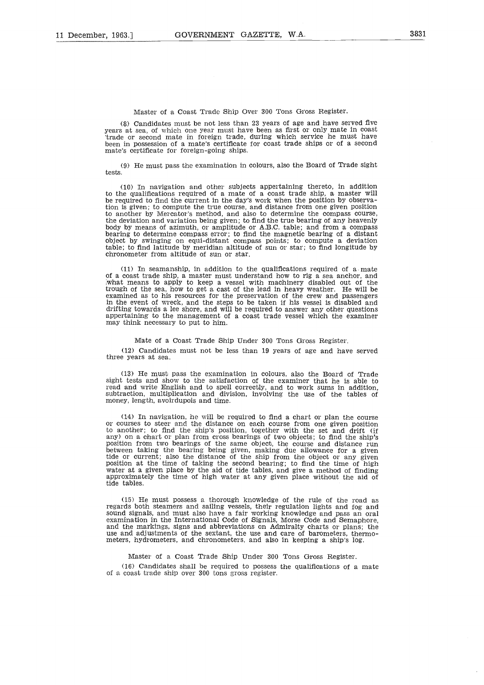(8) Candidates must be not less than 23 years of age and have served five years at sea, of which one year must have been as first or only mate in coast 'trade or second mate in foreign trade, during which service he must have been in possession of a mate's certificate for coast trade ships or of a second mate's certificate for foreign-going ships.

(9) He must pass the examination in colours, also the Board of Trade sight tests.

(10) In navigation and other subjects appertaining thereto, in addition to the qualifications required of a mate of a coast trade ship, a master will be required to find the current in the day's work when the position by observation is given; to compute the true course, and distance from one given position to another by Mercator's method, and also to determine the compass course, the deviation and variation being given; to find the true bearing of any heavenly body by means of azimuth, or amplitude or A.B.C. table; and from a compass bearing to determine compass error; to find the magnetic bearing of a distant object by swinging on equi-distant compass points; to compute a deviation table; to find latitude by meridian altitude of sun or star; to find longitude by chronometer from altitude of sun or star.

(11) In seamanship, in addition to the qualifications required of a mate of a coast trade ship, a master must understand how to rig a sea anchor, and ;what means to apply to keep a vessel with machinery disabled out of the trough of the sea, how to get a cast of the lead in heavy weather. He will be examined as to his resources for the preservation of the crew and passengers in the event of wreck, and the steps to be taken if his vessel is disabled and drifting towards a lee shore, and will be required to answer any other questions appertaining to the management of a coast trade vessel which the examiner may think necessary to put to him.

# Mate of a Coast Trade Ship Under 300 Tons Gross Register.

(12) Candidates must not be less than 19 years of age and have served three years at sea.

(13) He must pass the examination in colours, also the Board of Trade sight tests and show to the satisfaction of the examiner that he is able to read and write English and to spell correctly, and to work sums in addition, subtraction, multiplication and division, involving the use of the tables of money, length, avoirdupois and time.

(14) In navigation, he will be required to find a chart or plan the course or courses to steer and the distance on each course from one given position to another; to find the ship's position, together with the set and drift (if any) on a chart or plan from cross bearings of two objects; to find the ship's Position from two bearings of the same object, the course and distance run between taking the bearing being given, making due allowance for a given tide or current; also the distance of the ship from the object or any given position at the time of taking the second bearing; to find the time of high water at a given place by the aid of tide tables, and give a method of finding approximately the time of high water at any given place without the aid of tide tables.

(15) He must possess a thorough knowledge of the rule of the road as regards both steamers and sailing vessels, their regulation lights and fog and sound signals, and must also have a fair working knowledge and pass an oral examination in the International Code of Signals, Morse Code and Semaphore, and the markings, signs and abbreviations on Admiralty charts or plans; the use and adjustments of the sextant, the use and care of barometers, thermometers, hydrometers, and chronometers, and also in keeping a ship's log.

Master of a Coast Trade Ship Under 300 Tons Gross Register. (16) Candidates shall be required to possess the qualifications of a mate of a coast trade ship over 300 tons gross register,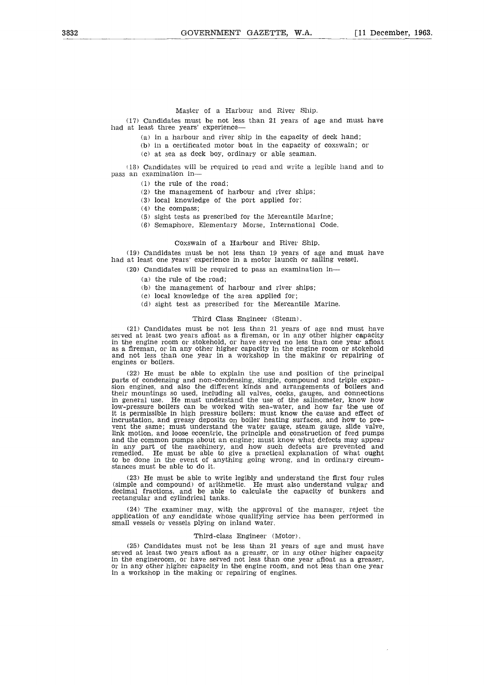(17) Candidates must be not less than 21 years of age and must have had at least three years' experience

- (a) in a harbour and river ship in the capacity of deck hand;
- (b) in a certificated motor boat in the capacity of coxswain; or
- (c) at sea as deck boy, ordinary or able seaman.

Candidates will be required to read and write a legible hand and to pass an examination in

- (1) the rule of the road;
- (2) the management of harbour and river ships;
- (3) local knowledge of the port applied for;
- (4) the compass;
- (5) sight tests as prescribed for the Mercantile Marine;
- (6) Semaphore, Elementary Morse, International Code.

### Coxswain of a Harbour and River Ship.

(19) Candidates must be not less than 19 years of age and must have had at least one years' experience in a motor launch or sailing vessel.

(20) Candidates will be required to pass an examination in

- (a) the rule of the road;
- (b) the management of harbour and river ships;
- (c) local knowledge of the area applied for;
- (d) sight test as prescribed for the Mercantile Marine.

## Third Class Engineer (Steam).

(21) Candidates must be not less than 21 years of age and must have served at least two years afloat as a fireman, or in any other higher capacity in the engine room or stokehold, or have served no less than one year afloat as a fireman, or in any other higher capacity in the engine room or stokehold and not less than one year in a workshop in the making or repairing of engines or boilers.

(22) He must be able to explain the use and position of the principal parts of condensing and non-condensing, simple, compound and triple expan-sion engines, and also the different kinds and arrangements of boilers and their mountings so used, including all valves, cocks, gauges, and connections in general use. He must understand the use of the salinometer, know how low-pressure boilers can be worked with sea-water, and how far the use of it is permissible in high pressure boilers; must know the cause and effect of incrustation, and greasy deposits on boiler heating surfaces, and how to prevent the same; must understand the water gauge, steam gauge, slide valve, link motion, and loose eccentric, the principle and construction of feed pumps and the common pumps about an engine; must know what defects may appear in any part of the machinery, and how such defects are prevented and remedied. He must be able to give a practical explanation of what ought to be done in the event of anything going wrong, and in ordinary circumstances must be able to do it.

(23) He must be able to write legibly and understand the first four rules (simple and compound) of arithmetic. He must also understand vulgar and decimal fractions, and be able to calculate the capacity of bunkers and rectangular and cylindrical tanks.

(24) The examiner may, with the approval of the manager, reject the application of any candidate whose qualifying service has been performed in small vessels or vessels plying on inland water.

### Third-class Engineer (Motor).

(25) Candidates must not be less than 21 years of age and must have served at least two years afloat as a greaser, or in any other higher capacity in the engineroom, or have served not less than one year afloat as a greaser, or in any other higher capacity in the engine room, and not less than one year in a workshop in the making or repairing of engines.